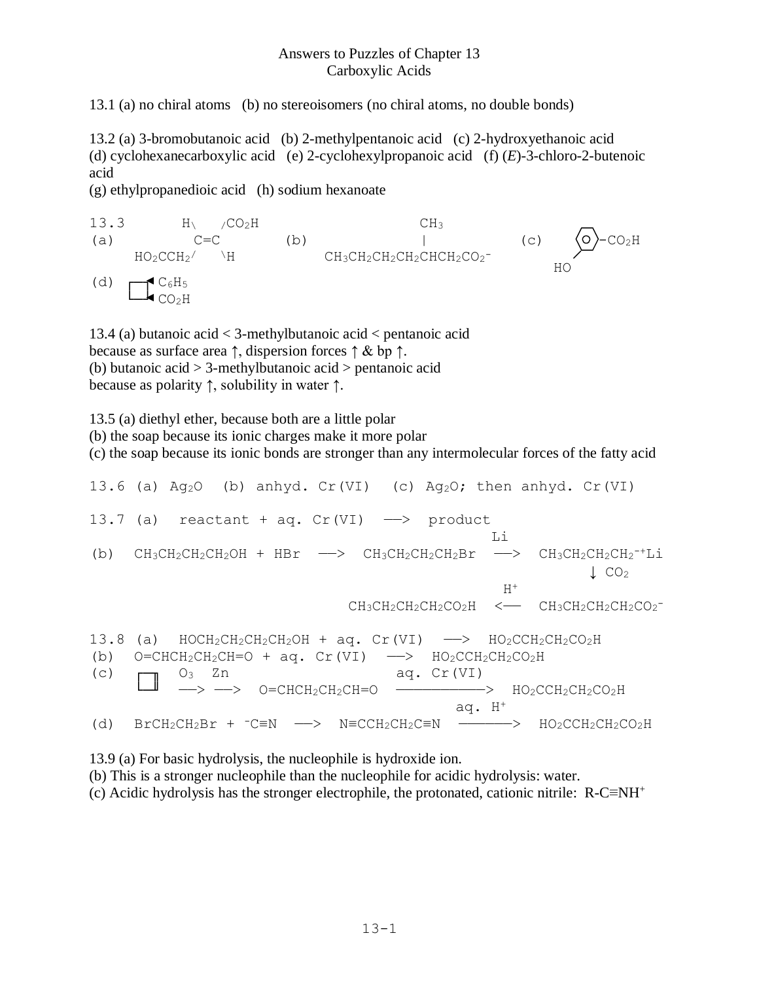## Answers to Puzzles of Chapter 13 Carboxylic Acids

13.1 (a) no chiral atoms (b) no stereoisomers (no chiral atoms, no double bonds)

13.2 (a) 3-bromobutanoic acid (b) 2-methylpentanoic acid (c) 2-hydroxyethanoic acid (d) cyclohexanecarboxylic acid (e) 2-cyclohexylpropanoic acid (f) (*E*)-3-chloro-2-butenoic acid

(g) ethylpropanedioic acid (h) sodium hexanoate

 $13.3$  H\  $/CO<sub>2</sub>H$  CH<sub>3</sub> (a)  $C=C$  (b)  $|$  (c)  $\Diamond$  -CO<sub>2</sub>H<br>HO<sub>2</sub>CCH<sub>2</sub><sup>/</sup> \H CH<sub>3</sub>CH<sub>2</sub>CH<sub>2</sub>CH<sub>2</sub>CHCH<sub>2</sub>CO<sub>2</sub><sup>-</sup>  $HO_2CCH_2$ <sup>/</sup>  $\rightarrow$ H  $/H$  CH<sub>3</sub>CH<sub>2</sub>CH<sub>2</sub>CH<sub>2</sub>CHCH<sub>2</sub>CO<sub>2</sub><sup>-</sup>  $\frac{\text{Singular}}{\text{Singular}}$ (d)  $\left( \begin{array}{cc} - & C_6H_5 \end{array} \right)$  $\Box$   $CO<sub>2</sub>H$ 

13.4 (a) butanoic acid < 3-methylbutanoic acid < pentanoic acid because as surface area ↑, dispersion forces ↑ & bp ↑. (b) butanoic acid > 3-methylbutanoic acid > pentanoic acid because as polarity ↑, solubility in water ↑.

13.5 (a) diethyl ether, because both are a little polar (b) the soap because its ionic charges make it more polar (c) the soap because its ionic bonds are stronger than any intermolecular forces of the fatty acid 13.6 (a)  $Ag_2O$  (b) anhyd. Cr(VI) (c)  $Ag_2O$ ; then anhyd. Cr(VI)

13.7 (a) reactant + aq.  $Cr(VI) \longrightarrow$  product Li (b)  $CH_3CH_2CH_2CH_2OH + HBr$  -->  $CH_3CH_2CH_2CH_2Br$  -->  $CH_3CH_2CH_2CH_2^{-+}Li$  $\downarrow$  CO<sub>2</sub>  $H^+$  $CH_3CH_2CH_2CH_2CO_2H$  <  $CH_3CH_2CH_2CH_2CO_2$ -13.8 (a)  $HOCH_2CH_2CH_2OH + aq$ . Cr(VI)  $\longrightarrow$   $HO_2CCH_2CH_2CO_2H$ (b)  $O=CHCH_2CH_2CH=O + aq$ .  $Cr(VI)$   $\longrightarrow$   $HO_2CCH_2CH_2CO_2H$ (c)  $\Box$  O<sub>3</sub> Zn aq. Cr(VI)  $\longrightarrow$   $\longrightarrow$  O=CHCH<sub>2</sub>CH<sub>2</sub>CH=O  $\longrightarrow$  HO<sub>2</sub>CCH<sub>2</sub>CH<sub>2</sub>CO<sub>2</sub>H aq. H<sup>+</sup> (d)  $BrCH_2CH_2Br$  +  $~C=N$   $\longrightarrow$   $N=CCH_2CH_2C\equiv N$   $\longrightarrow$   $~HO_2CCH_2CH_2CO_2H$ 

13.9 (a) For basic hydrolysis, the nucleophile is hydroxide ion. (b) This is a stronger nucleophile than the nucleophile for acidic hydrolysis: water. (c) Acidic hydrolysis has the stronger electrophile, the protonated, cationic nitrile: R-C≡NH<sup>+</sup>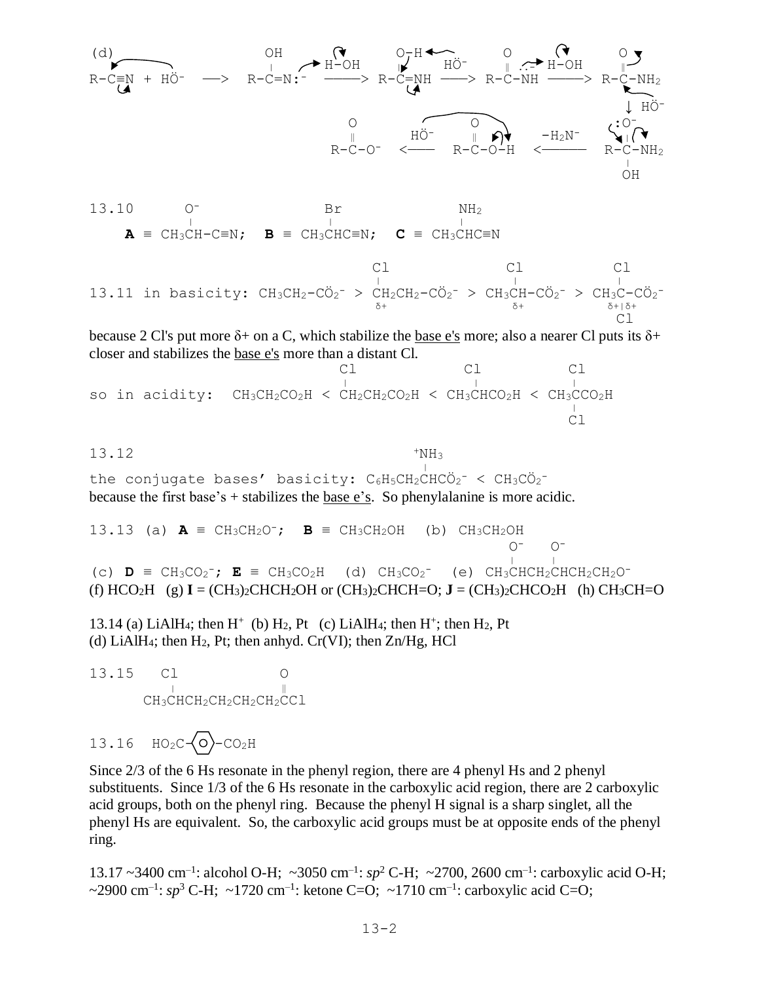

13.10 O- Br NH<sup>2</sup>  $\frac{1}{2}$  $A = CH_3CH-C=N;$  **B** = CH<sub>3</sub>CHC≡N; **C** = CH<sub>3</sub>CHC≡N

 Cl Cl Cl <sup>|</sup> <sup>|</sup> <sup>|</sup> 13.11 in basicity: CH3CH2-CÖ<sup>2</sup> - > CH2CH2-CÖ<sup>2</sup> - > CH3CH-CÖ<sup>2</sup> - > CH3C-CÖ<sup>2</sup> <sup>δ</sup><sup>+</sup> <sup>δ</sup><sup>+</sup> <sup>δ</sup>+|δ<sup>+</sup> Cl

because 2 Cl's put more  $\delta$ + on a C, which stabilize the base e's more; also a nearer Cl puts its  $\delta$ + closer and stabilizes the base e's more than a distant Cl.

 Cl Cl Cl <sup>|</sup> <sup>|</sup> <sup>|</sup> so in acidity: CH3CH2CO2H < CH2CH2CO2H < CH3CHCO2H < CH3CCO2H bo in acrarcy. Chych<sub>2</sub>co<sub>2</sub>n < ch<sub>2</sub>ch<sub>2</sub>co<sub>2</sub>n < chychoc<sub>2</sub>n < chyc Cl

13.12

|<br>|-<br>|<br>| the conjugate bases' basicity: C6H5CH2CHCÖ2<sup>-</sup> < CH3CÖ2<sup>-</sup> because the first base's + stabilizes the base e's. So phenylalanine is more acidic.

13.13 (a)  $\mathbf{A} \equiv \text{CH}_3\text{CH}_2\text{O}^-$ ;  $\mathbf{B} \equiv \text{CH}_3\text{CH}_2\text{OH}$  (b)  $\text{CH}_3\text{CH}_2\text{OH}$  $O^ O^ \frac{1}{\sqrt{2}}$ (c)  $\mathbf{D}$  = CH<sub>3</sub>CO<sub>2</sub><sup>-</sup>;  $\mathbf{E}$  = CH<sub>3</sub>CO<sub>2</sub>H (d) CH<sub>3</sub>CO<sub>2</sub><sup>-</sup> (e) CH<sub>3</sub>CHCH<sub>2</sub>CHCH<sub>2</sub>CH<sub>2</sub>O<sup>-</sup> (f)  $HCO<sub>2</sub>H$  (g)  $I = (CH<sub>3</sub>)<sub>2</sub>CHCH<sub>2</sub>OH$  or  $(CH<sub>3</sub>)<sub>2</sub>CHCH=O$ ;  $J = (CH<sub>3</sub>)<sub>2</sub>CHCO<sub>2</sub>H$  (h)  $CH<sub>3</sub>CH=O$ 

 $+NH<sub>3</sub>$ 

13.14 (a) LiAlH<sub>4</sub>; then H<sup>+</sup> (b) H<sub>2</sub>, Pt (c) LiAlH<sub>4</sub>; then H<sup>+</sup>; then H<sub>2</sub>, Pt (d) LiAlH<sub>4</sub>; then H<sub>2</sub>, Pt; then anhyd. Cr(VI); then  $Zn/Hg$ , HCl

13.15 Cl  $\|$ CH<sub>3</sub>CHCH<sub>2</sub>CH<sub>2</sub>CH<sub>2</sub>CCl

 $13.16$   $HO_2C\left\{O\right\} - CO_2H$ 

Since 2/3 of the 6 Hs resonate in the phenyl region, there are 4 phenyl Hs and 2 phenyl substituents. Since 1/3 of the 6 Hs resonate in the carboxylic acid region, there are 2 carboxylic acid groups, both on the phenyl ring. Because the phenyl H signal is a sharp singlet, all the phenyl Hs are equivalent. So, the carboxylic acid groups must be at opposite ends of the phenyl ring.

13.17 ~3400 cm<sup>-1</sup>: alcohol O-H; ~3050 cm<sup>-1</sup>: sp<sup>2</sup> C-H; ~2700, 2600 cm<sup>-1</sup>: carboxylic acid O-H;  $\sim$ 2900 cm<sup>-1</sup>: sp<sup>3</sup> C-H;  $\sim$ 1720 cm<sup>-1</sup>: ketone C=O;  $\sim$ 1710 cm<sup>-1</sup>: carboxylic acid C=O;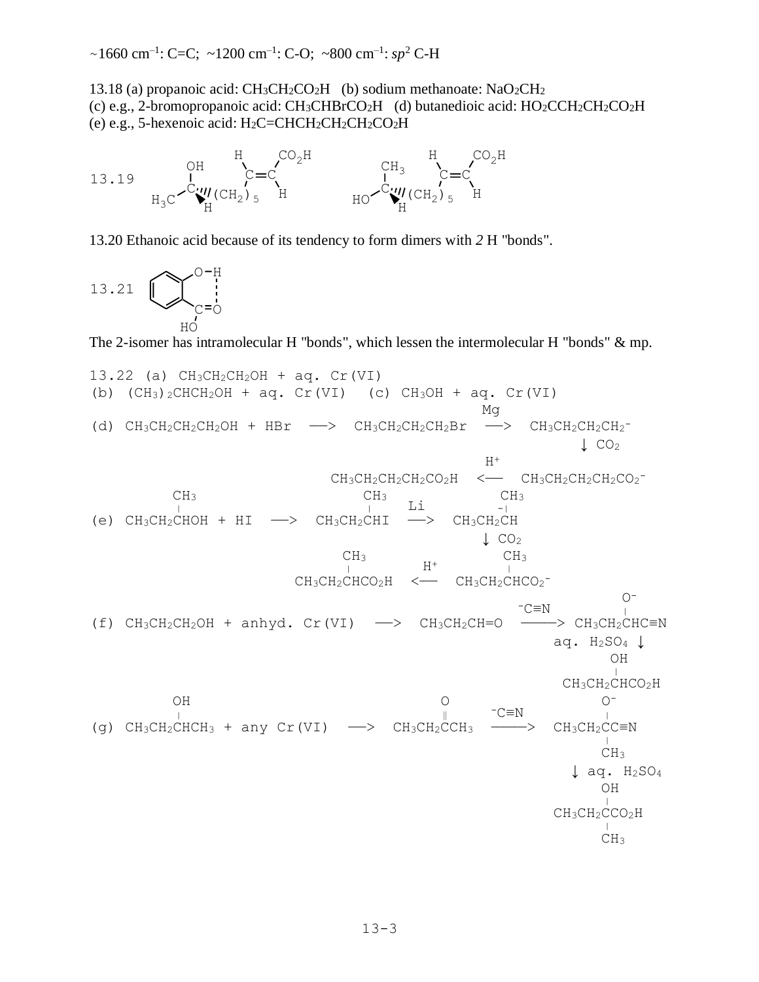$\sim$ 1660 cm<sup>-1</sup>: C=C;  $\sim$ 1200 cm<sup>-1</sup>: C-O;  $\sim$ 800 cm<sup>-1</sup>: sp<sup>2</sup> C-H

13.18 (a) propanoic acid: CH3CH2CO2H (b) sodium methanoate: NaO2CH<sup>2</sup> (c) e.g., 2-bromopropanoic acid: CH3CHBrCO2H (d) butanedioic acid: HO2CCH2CH2CO2H (e) e.g., 5-hexenoic acid:  $H_2C=CHCH_2CH_2CH_2CO_2H$ 



13.20 Ethanoic acid because of its tendency to form dimers with *2* H "bonds".

13.21  $O-H$  $\bigcup_{\mathbb{C}=\mathbb{O}}$ HO

The 2-isomer has intramolecular H "bonds", which lessen the intermolecular H "bonds" & mp.

13.22 (a) CH<sub>3</sub>CH<sub>2</sub>CH<sub>2</sub>OH + aq. Cr(VI)  
\n(b) (CH<sub>3</sub>)<sub>2</sub>CHCH<sub>2</sub>OH + aq. Cr(VI)  
\n(c) CH<sub>3</sub>OH + aq. Cr(VI)  
\n(d) CH<sub>3</sub>CH<sub>2</sub>CH<sub>2</sub>CH<sub>2</sub>OH + HBr 
$$
\longrightarrow
$$
 CH<sub>3</sub>CH<sub>2</sub>CH<sub>2</sub>CH<sub>2</sub>CH<sub>2</sub>CH<sub>2</sub>CH<sub>2</sub>CH<sub>2</sub>CH<sub>2</sub>CH<sub>2</sub>CH<sub>2</sub>CH<sub>2</sub>CH<sub>2</sub>CH<sub>2</sub>CH<sub>2</sub>CH<sub>2</sub>CH<sub>2</sub>CH<sub>2</sub>CH<sub>2</sub>CH<sub>2</sub>CH<sub>2</sub>CH<sub>2</sub>CH<sub>2</sub>CH<sub>2</sub>CH<sub>2</sub>CH<sub>2</sub>CH<sub>2</sub>CH<sub>2</sub>CH<sub>2</sub>CH<sub>2</sub>CH<sub>2</sub>CH<sub>2</sub>CH<sub>2</sub>CH<sub>2</sub>CH<sub>2</sub>CH<sub>2</sub>CH<sub>2</sub>CH<sub>2</sub>CH<sub>2</sub>CH<sub>2</sub>CH<sub>2</sub>CH<sub>2</sub>CH<sub>2</sub>CH<sub>2</sub>CH<sub>2</sub>CH<sub>2</sub>CH<sub>2</sub>CH<sub>2</sub>CH<sub>2</sub>CH<sub>2</sub>CH<sub>2</sub>CH<sub>2</sub>CH<sub>2</sub>CH<sub>2</sub>CH<sub>2</sub>CH<sub>2</sub>CH<sub>2</sub>CH<sub>2</sub>CH<sub>2</sub>CH<sub>2</sub>CH<sub>2</sub>CH<sub>2</sub>CH<sub>2</sub>CH<sub>2</sub>CH<sub>2</sub>CH<sub>2</sub>CH<sub>2</sub>CH<sub>2</sub>CH<sub>2</sub>CH<sub>2</sub>CH<sub>2</sub>CH<sub>2</sub>CH<sub>2</sub>CH<sub>2</sub>CH<sub>2</sub>CH<sub>2</sub>CH<sub>2</sub>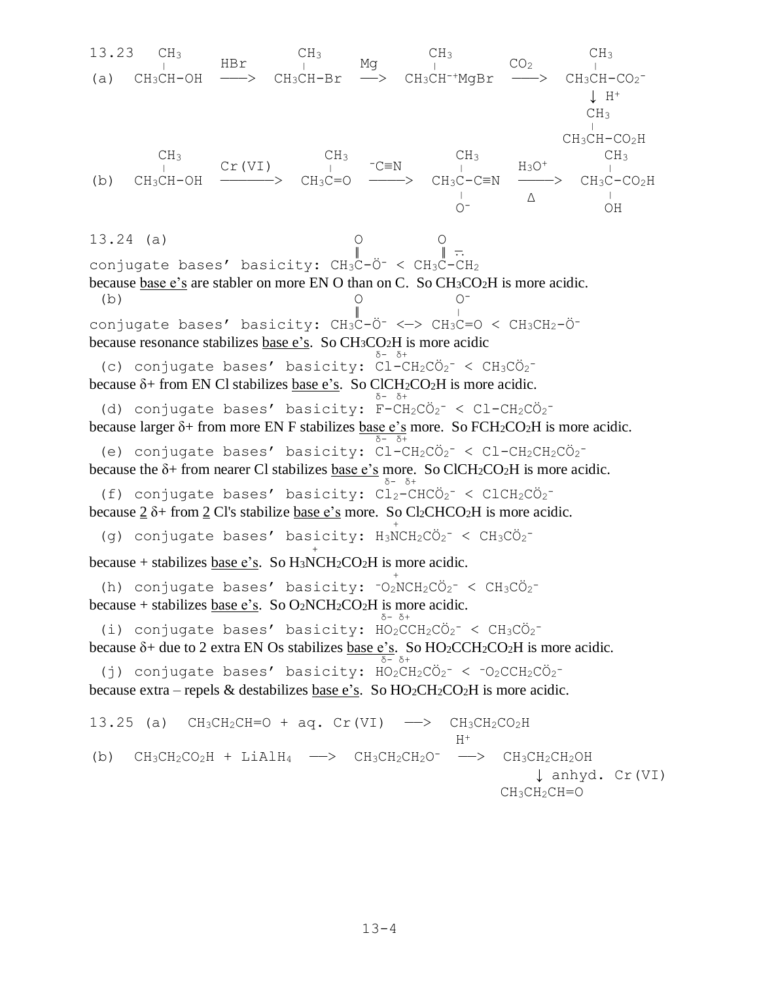